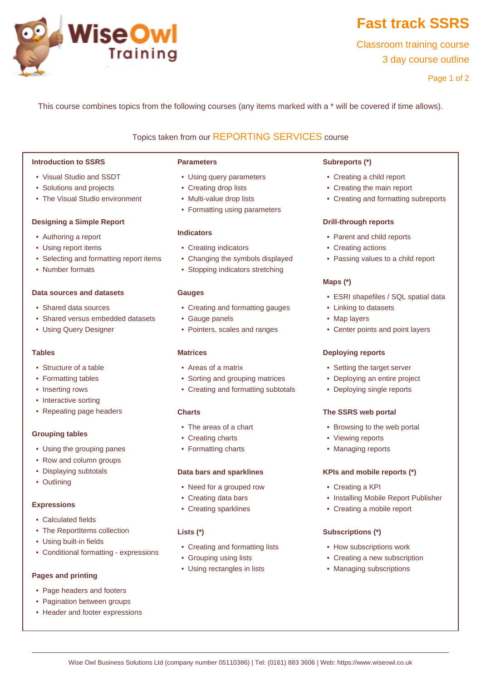

# **Fast track SSRS**

Classroom training course 3 day course outline

Page 1 of 2

This course combines topics from the following courses (any items marked with a \* will be covered if time allows).

# Topics taken from our [REPORTING SERVICES](www.wiseowl.co.uk/courses/ssrs-reporting-services.htm) course

#### **Introduction to SSRS**

- Visual Studio and SSDT
- Solutions and projects
- The Visual Studio environment

#### **Designing a Simple Report**

- Authoring a report
- Using report items
- Selecting and formatting report items
- Number formats

#### **Data sources and datasets**

- Shared data sources
- Shared versus embedded datasets
- Using Query Designer

#### **Tables**

- Structure of a table
- Formatting tables
- Inserting rows
- Interactive sorting
- Repeating page headers

## **Grouping tables**

- Using the grouping panes
- Row and column groups
- Displaying subtotals
- Outlining

#### **Expressions**

- Calculated fields
- The ReportItems collection
- Using built-in fields
- Conditional formatting expressions

## **Pages and printing**

- Page headers and footers
- Pagination between groups
- Header and footer expressions

#### **Parameters**

- Using query parameters
- Creating drop lists
- Multi-value drop lists
- Formatting using parameters

#### **Indicators**

- Creating indicators
- Changing the symbols displayed
- Stopping indicators stretching

#### **Gauges**

- Creating and formatting gauges
- Gauge panels
- Pointers, scales and ranges

# **Matrices**

- Areas of a matrix
- Sorting and grouping matrices
- Creating and formatting subtotals

# **Charts**

- The areas of a chart
- Creating charts
- Formatting charts

#### **Data bars and sparklines**

- Need for a grouped row
- Creating data bars
- Creating sparklines

## **Lists (\*)**

- Creating and formatting lists
- Grouping using lists
- Using rectangles in lists

#### **Subreports (\*)**

- Creating a child report
- Creating the main report
- Creating and formatting subreports

#### **Drill-through reports**

- Parent and child reports
- Creating actions
- Passing values to a child report

# **Maps (\*)**

- ESRI shapefiles / SQL spatial data
- Linking to datasets
- Map layers
- Center points and point layers

## **Deploying reports**

- Setting the target server
- Deploying an entire project
- Deploying single reports

#### **The SSRS web portal**

- Browsing to the web portal
- Viewing reports
- Managing reports

## **KPIs and mobile reports (\*)**

- Creating a KPI
- Installing Mobile Report Publisher
- Creating a mobile report

## **Subscriptions (\*)**

- How subscriptions work
- Creating a new subscription
- Managing subscriptions